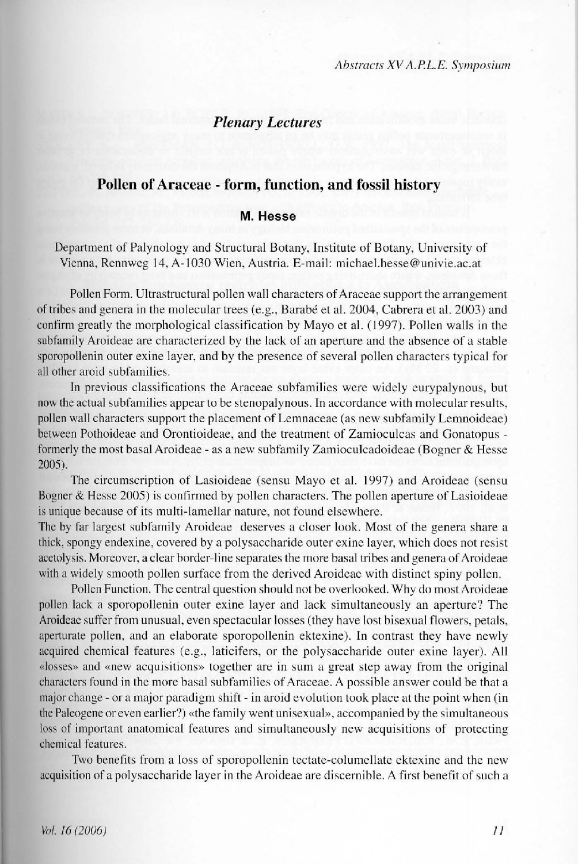# **Plenary Lectures**

## Pollen of Araceae - form, function, and fossil history

## M Hesse

Department of Palynology and Structural Botany, Institute of Botany, University of Vienna, Rennweg 14, A-1030 Wien, Austria, E-mail: michael.hesse@univie.ac.at

Pollen Form. Ultrastructural pollen wall characters of Araceae support the arrangement of tribes and genera in the molecular trees (e.g., Barabé et al. 2004, Cabrera et al. 2003) and confirm greatly the morphological classification by Mayo et al. (1997). Pollen walls in the subfamily Aroideae are characterized by the lack of an aperture and the absence of a stable sporopollenin outer exine layer, and by the presence of several pollen characters typical for all other aroid subfamilies.

In previous classifications the Araceae subfamilies were widely eurypalynous, but now the actual subfamilies appear to be stenopalynous. In accordance with molecular results, pollen wall characters support the placement of Lemnaceae (as new subfamily Lemnoideae) between Pothoideae and Orontioideae, and the treatment of Zamioculcas and Gonatopus formerly the most basal Aroideae - as a new subfamily Zamioculcadoideae (Bogner & Hesse  $2005$ ).

The circumscription of Lasioideae (sensu Mayo et al. 1997) and Aroideae (sensu Bogner & Hesse 2005) is confirmed by pollen characters. The pollen aperture of Lasioideae is unique because of its multi-lamellar nature, not found elsewhere.

The by far largest subfamily Aroideae deserves a closer look. Most of the genera share a thick, spongy endexine, covered by a polysaccharide outer exine layer, which does not resist acetolysis. Moreover, a clear border-line separates the more basal tribes and genera of Aroideae with a widely smooth pollen surface from the derived Aroideae with distinct spiny pollen.

Pollen Function. The central question should not be overlooked. Why do most Aroideae pollen lack a sporopollenin outer exine layer and lack simultaneously an aperture? The Aroideae suffer from unusual, even spectacular losses (they have lost bisexual flowers, petals, aperturate pollen, and an elaborate sporopollenin ektexine). In contrast they have newly acquired chemical features (e.g., laticifers, or the polysaccharide outer exine laver). All «losses» and «new acquisitions» together are in sum a great step away from the original characters found in the more basal subfamilies of Araceae. A possible answer could be that a major change - or a major paradigm shift - in aroid evolution took place at the point when (in the Paleogene or even earlier?) «the family went unisexual», accompanied by the simultaneous loss of important anatomical features and simultaneously new acquisitions of protecting chemical features.

Two benefits from a loss of sporopollenin tectate-columellate ektexine and the new acquisition of a polysaccharide layer in the Aroideae are discernible. A first benefit of such a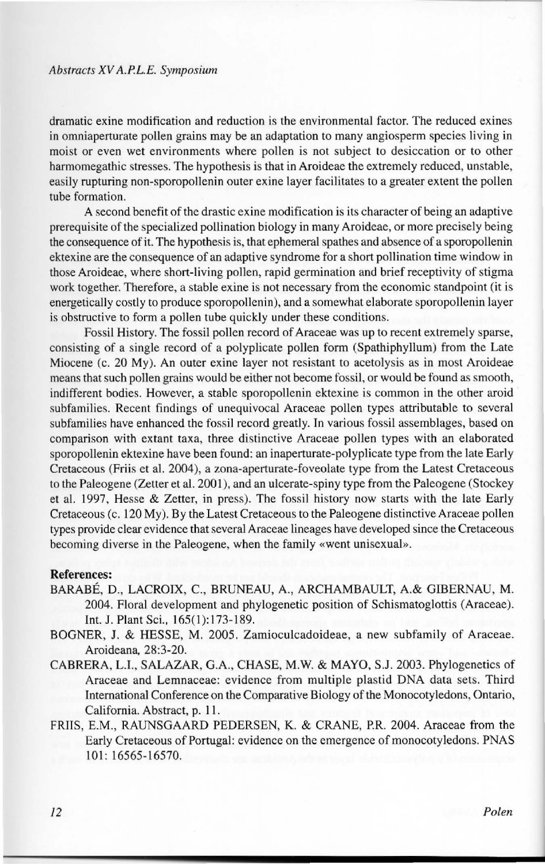#### *Abstracts XV A.PL.E. Symposium*

dramatic exine moditication and reduction is the environmental factor. The reduced exines in omniaperturate pollen grains may be an adaptation to many angiosperm species living in moist or even wet environments where pollen is not subject to desiccation or to other harmomegathic stresses. The hypothesis is that in Aroideae the extremely reduced, unstable, easily rupturing non-sporopollenin outer exine layer facilitates to a greater extent the pollen tube formation.

A second benefit of the drastic exine modification is its character of being an adaptive prerequisite ofthe specialized pollination biology in many Aroideae, or more precisely being the consequence of it. The hypothesis is, that ephemeral spathes and absence of a sporopollenin ektexine are the consequence of an adaptive syndrome for a short pollination time window in those Aroideae, where short-living pollen, rapid germination and brief receptivity of stigma work together. Therefore, a stable exine is not necessary from the economic standpoint (it is energetically costly to produce sporopollenin), anda somewhat elaborare sporopollenin layer is obstructive to form a pollen tube quickly under these conditions.

Fossil History. The fossil pollen record of Araceae was up to recent extremely sparse, consisting of a single record of a polyplicate pollen form (Spathiphyllum) from the Late Miocene (c. 20 My). An outer exine layer not resistant to acetolysis as in most Aroideae means that such pollen grains would be either not become fossil, or would be found as smooth, indifferent bodies. However, a stable sporopollenin ektexine is common in lhe olher aroid subfamilies. Recent findings of unequivocal Araceae pollen types attributable to several subfamilies have enhanced the fossil record greatly. In various fossil assemblages, based on comparison with extant taxa, three distinctive Araceae pollen types with an elaborated sporopollenin ektexine have been found: an inaperturate-polyplicate type from the late Early Cretaceous (Friis et al. 2004), a zona-aperturate-foveolale type from the Latest Cretaceous to the Paleogene (Zetter et al. 2001), and an ulcerate-spiny type from the Paleogene (Stockey et al. 1997, Hesse & Zetter, in press). The fossil history now starts with the late Early Cretaceous (c. 120 My). By the Latest Cretaceous to the Paleogene distinctive Araceae pollen types provide clear evidence that several Araceae lineages have developed since the Cretaceous becoming diverse in the Paleogene, when the family «went unisexual».

#### **References:**

- BARABÉ, D. , LACROIX, C., BRUNEAU, A., ARCHAMBAULT, A.& GlBERNAU, **M .**  2004. Floral development and phylogenetic position of Schismatoglottis (Araceae). Int. J. Plant Sci., 165(1):173-189.
- BOGNER, J. & HESSE, M. 2005. Zamioculcadoideae, a new subfamily of Araceae. Aroideana, 28:3-20.
- CABRERA, **L.l.,** SALAZAR, G.A., CHASE, M.W. & MAYO, S.J. 2003. Phylogenetics of Araceae and Lemnaceae: evidence from multiple plastid DNA data sets. Third International Conference on the Comparative Biology of the Monocotyledons, Ontario, California. Abstract, p. 11.
- FRIIS, E.M., RAUNSGAARD PEDERSEN, K. & CRANE, P.R. 2004. Araceae from the Early Cretaceous of Portugal: evidence on the emergence of monocotyledons. PNAS 101: 16565-16570.